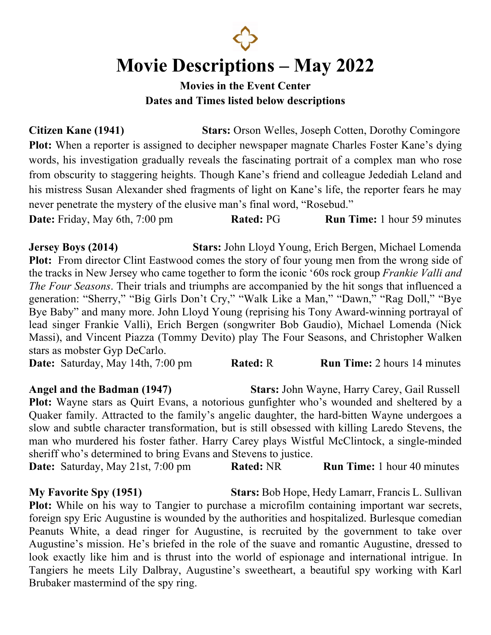

## **Movie Descriptions – May 2022**

#### **Movies in the Event Center Dates and Times listed below descriptions**

**Citizen Kane (1941) Stars:** Orson Welles, Joseph Cotten, Dorothy Comingore Plot: When a reporter is assigned to decipher newspaper magnate Charles Foster Kane's dying words, his investigation gradually reveals the fascinating portrait of a complex man who rose from obscurity to staggering heights. Though Kane's friend and colleague Jedediah Leland and his mistress Susan Alexander shed fragments of light on Kane's life, the reporter fears he may never penetrate the mystery of the elusive man's final word, "Rosebud."

**Date:** Friday, May 6th, 7:00 pm **Rated:** PG **Run Time:** 1 hour 59 minutes

**Jersey Boys (2014) Stars:** John Lloyd Young, Erich Bergen, Michael Lomenda **Plot:** From director Clint Eastwood comes the story of four young men from the wrong side of the tracks in New Jersey who came together to form the iconic '60s rock group *Frankie Valli and The Four Seasons*. Their trials and triumphs are accompanied by the hit songs that influenced a generation: "Sherry," "Big Girls Don't Cry," "Walk Like a Man," "Dawn," "Rag Doll," "Bye Bye Baby" and many more. John Lloyd Young (reprising his Tony Award-winning portrayal of lead singer Frankie Valli), Erich Bergen (songwriter Bob Gaudio), Michael Lomenda (Nick Massi), and Vincent Piazza (Tommy Devito) play The Four Seasons, and Christopher Walken stars as mobster Gyp DeCarlo.

**Date:** Saturday, May 14th, 7:00 pm **Rated: R Run Time:** 2 hours 14 minutes

**Angel and the Badman (1947) Stars:** John Wayne, Harry Carey, Gail Russell Plot: Wayne stars as Quirt Evans, a notorious gunfighter who's wounded and sheltered by a Quaker family. Attracted to the family's angelic daughter, the hard-bitten Wayne undergoes a slow and subtle character transformation, but is still obsessed with killing Laredo Stevens, the man who murdered his foster father. Harry Carey plays Wistful McClintock, a single-minded sheriff who's determined to bring Evans and Stevens to justice.

**Date:** Saturday, May 21st, 7:00 pm **Rated:** NR **Run Time:** 1 hour 40 minutes

**My Favorite Spy (1951) Stars:** Bob Hope, Hedy Lamarr, Francis L. Sullivan **Plot:** While on his way to Tangier to purchase a microfilm containing important war secrets, foreign spy Eric Augustine is wounded by the authorities and hospitalized. Burlesque comedian Peanuts White, a dead ringer for Augustine, is recruited by the government to take over Augustine's mission. He's briefed in the role of the suave and romantic Augustine, dressed to look exactly like him and is thrust into the world of espionage and international intrigue. In Tangiers he meets Lily Dalbray, Augustine's sweetheart, a beautiful spy working with Karl Brubaker mastermind of the spy ring.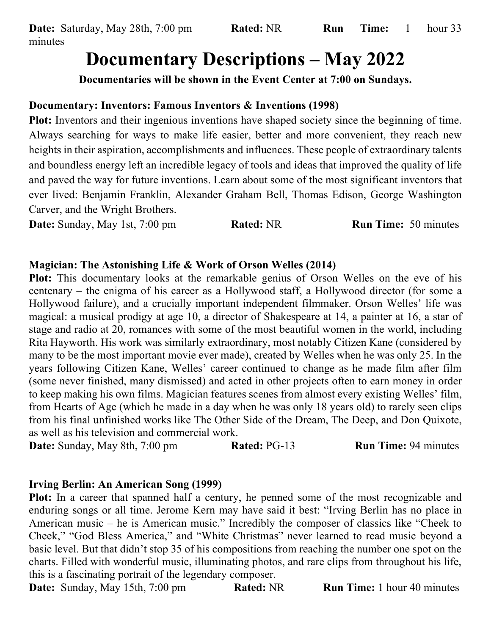# **Documentary Descriptions – May 2022**

**Documentaries will be shown in the Event Center at 7:00 on Sundays.**

### **Documentary: Inventors: Famous Inventors & Inventions (1998)**

**Plot:** Inventors and their ingenious inventions have shaped society since the beginning of time. Always searching for ways to make life easier, better and more convenient, they reach new heights in their aspiration, accomplishments and influences. These people of extraordinary talents and boundless energy left an incredible legacy of tools and ideas that improved the quality of life and paved the way for future inventions. Learn about some of the most significant inventors that ever lived: Benjamin Franklin, Alexander Graham Bell, Thomas Edison, George Washington Carver, and the Wright Brothers.

**Date:** Sunday, May 1st, 7:00 pm **Rated:** NR **Run Time:** 50 minutes

#### **Magician: The Astonishing Life & Work of Orson Welles (2014)**

**Plot:** This documentary looks at the remarkable genius of Orson Welles on the eve of his centenary – the enigma of his career as a Hollywood staff, a Hollywood director (for some a Hollywood failure), and a crucially important independent filmmaker. Orson Welles' life was magical: a musical prodigy at age 10, a director of Shakespeare at 14, a painter at 16, a star of stage and radio at 20, romances with some of the most beautiful women in the world, including Rita Hayworth. His work was similarly extraordinary, most notably Citizen Kane (considered by many to be the most important movie ever made), created by Welles when he was only 25. In the years following Citizen Kane, Welles' career continued to change as he made film after film (some never finished, many dismissed) and acted in other projects often to earn money in order to keep making his own films. Magician features scenes from almost every existing Welles' film, from Hearts of Age (which he made in a day when he was only 18 years old) to rarely seen clips from his final unfinished works like The Other Side of the Dream, The Deep, and Don Quixote, as well as his television and commercial work.

**Date:** Sunday, May 8th, 7:00 pm **Rated:** PG-13 **Run Time:** 94 minutes

#### **Irving Berlin: An American Song (1999)**

Plot: In a career that spanned half a century, he penned some of the most recognizable and enduring songs or all time. Jerome Kern may have said it best: "Irving Berlin has no place in American music – he is American music." Incredibly the composer of classics like "Cheek to Cheek," "God Bless America," and "White Christmas" never learned to read music beyond a basic level. But that didn't stop 35 of his compositions from reaching the number one spot on the charts. Filled with wonderful music, illuminating photos, and rare clips from throughout his life, this is a fascinating portrait of the legendary composer.

**Date:** Sunday, May 15th, 7:00 pm **Rated:** NR **Run Time:** 1 hour 40 minutes